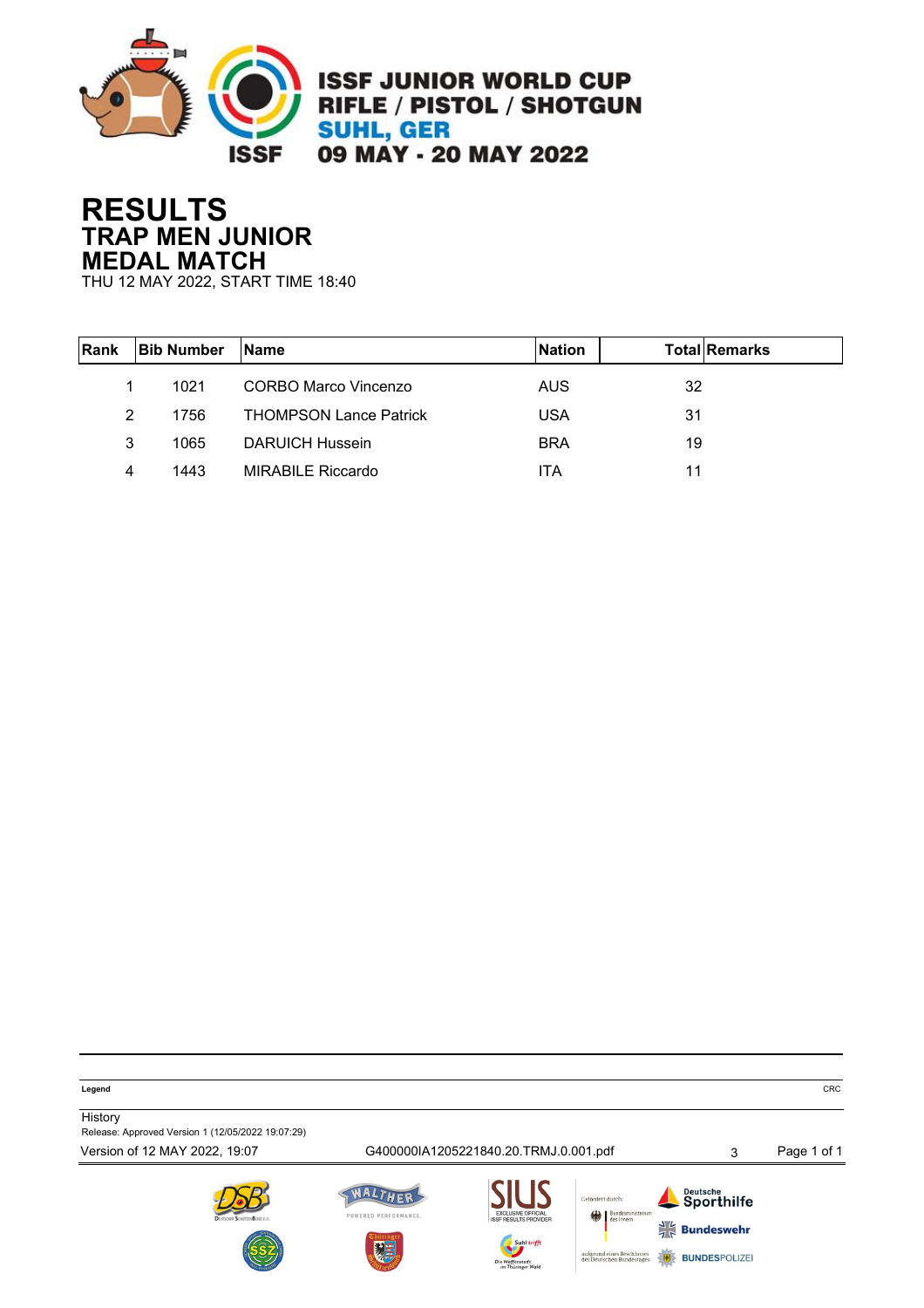

## **RESULTS TRAP MEN JUNIOR MEDAL MATCH**

THU 12 MAY 2022, START TIME 18:40

| <b>Rank</b> | <b>Bib Number</b> | <b>Name</b>                   | <b>Nation</b> | <b>TotallRemarks</b> |
|-------------|-------------------|-------------------------------|---------------|----------------------|
|             | 1021              | CORBO Marco Vincenzo          | AUS.          | 32                   |
| 2           | 1756              | <b>THOMPSON Lance Patrick</b> | <b>USA</b>    | 31                   |
| 3           | 1065              | DARUICH Hussein               | <b>BRA</b>    | 19                   |
| 4           | 1443              | <b>MIRABILE Riccardo</b>      | ITA           | 11                   |

**Legend** CRC

**History** Release: Approved Version 1 (12/05/2022 19:07:29)

Version of 12 MAY 2022, 19:07 G400000IA1205221840.20.TRMJ.0.001.pdf 3 Page 1 of 1







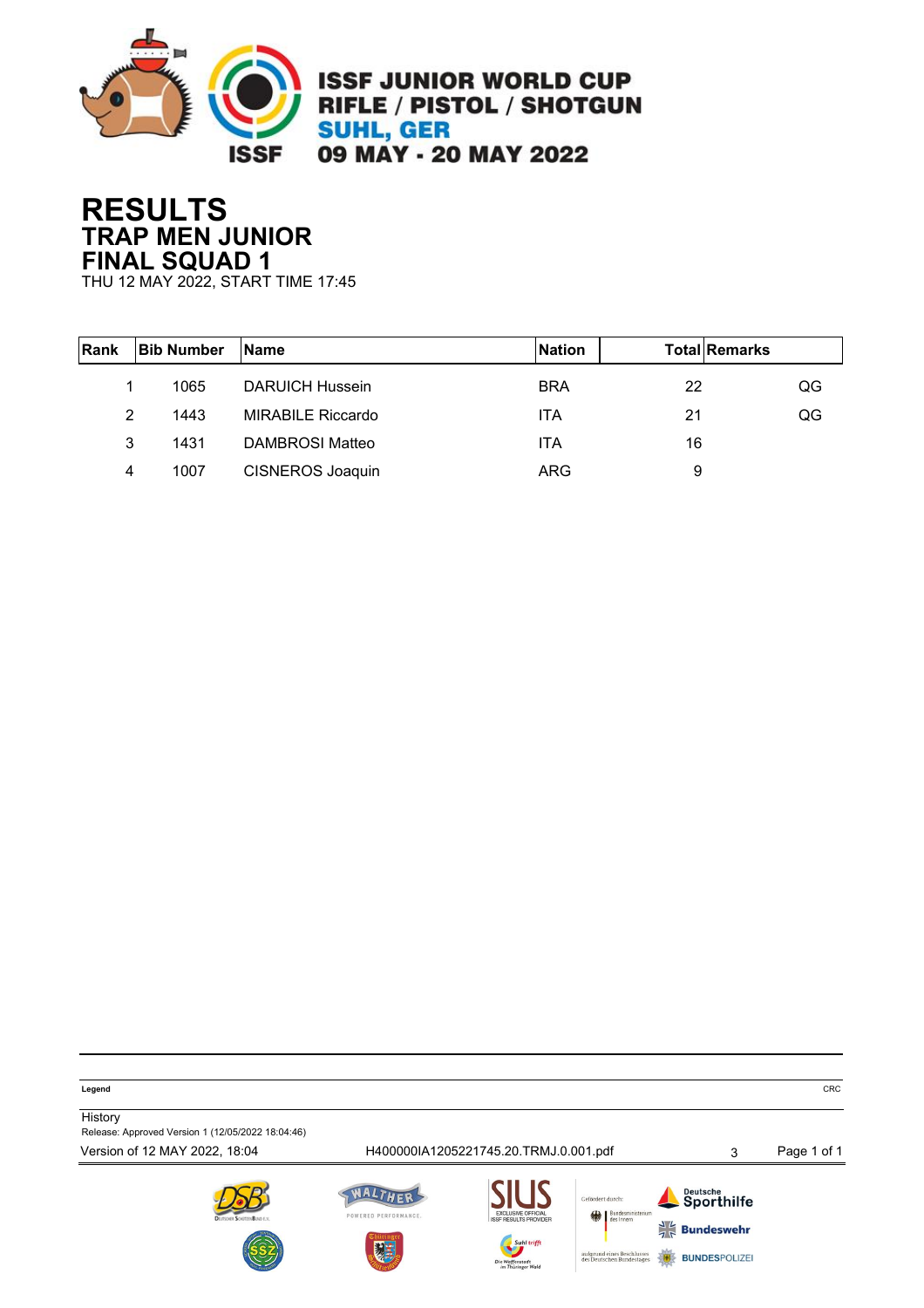

# **RESULTS TRAP MEN JUNIOR FINAL SQUAD 1**

THU 12 MAY 2022, START TIME 17:45

| Rank | <b>Bib Number</b> | <b>Name</b>              | <b>Nation</b> | <b>Total Remarks</b> |    |
|------|-------------------|--------------------------|---------------|----------------------|----|
|      | 1065              | <b>DARUICH Hussein</b>   | <b>BRA</b>    | 22                   | QG |
| 2    | 1443              | <b>MIRABILE Riccardo</b> | <b>ITA</b>    | 21                   | QG |
| 3    | 1431              | DAMBROSI Matteo          | <b>ITA</b>    | 16                   |    |
| 4    | 1007              | <b>CISNEROS Joaquin</b>  | ARG           | 9                    |    |

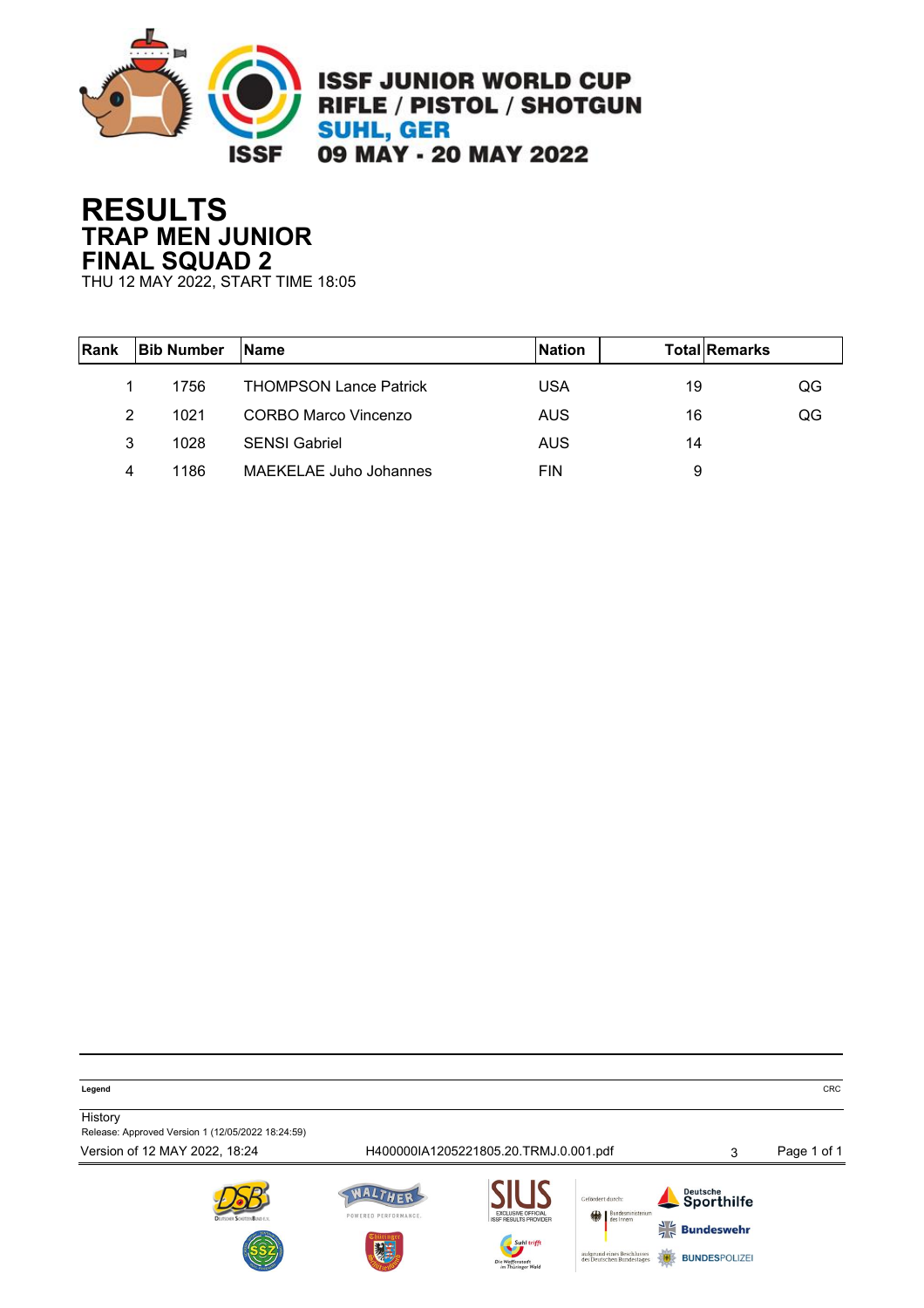

# **RESULTS TRAP MEN JUNIOR FINAL SQUAD 2**

THU 12 MAY 2022, START TIME 18:05

| Rank | <b>Bib Number</b> | <b>Name</b>                   | <b>Nation</b> | <b>Total Remarks</b> |    |
|------|-------------------|-------------------------------|---------------|----------------------|----|
|      | 1756              | <b>THOMPSON Lance Patrick</b> | USA           | 19                   | QG |
| 2    | 1021              | CORBO Marco Vincenzo          | AUS           | 16                   | QG |
| 3    | 1028              | <b>SENSI Gabriel</b>          | AUS           | 14                   |    |
| 4    | 1186              | <b>MAEKELAE Juho Johannes</b> | <b>FIN</b>    | 9                    |    |

**Legend** CRC

**History** Release: Approved Version 1 (12/05/2022 18:24:59)

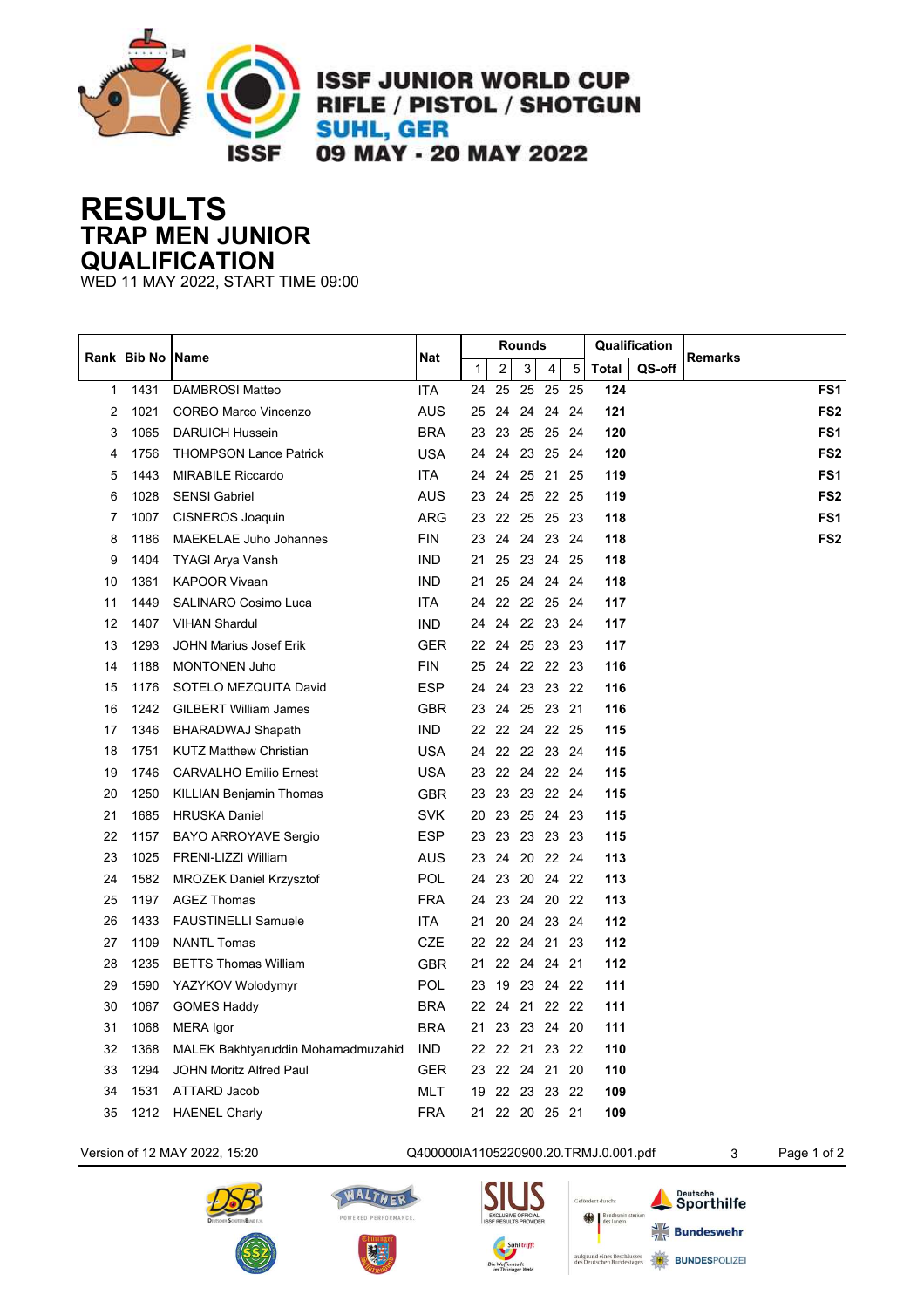

### **RESULTS TRAP MEN JUNIOR QUALIFICATION**

WED 11 MAY 2022, START TIME 09:00

| <b>Bib No Name</b><br>Rankl |      |                                    |            | Rounds       |                         |    |                |      | Qualification |        |                 |
|-----------------------------|------|------------------------------------|------------|--------------|-------------------------|----|----------------|------|---------------|--------|-----------------|
|                             |      |                                    | Nat        | $\mathbf{1}$ | $\overline{\mathbf{c}}$ | 3  | 4              | 5    | <b>Total</b>  | QS-off | Remarks         |
| 1                           | 1431 | DAMBROSI Matteo                    | ITA        | 24           | 25                      | 25 | 25             | 25   | 124           |        | FS1             |
| 2                           | 1021 | <b>CORBO Marco Vincenzo</b>        | <b>AUS</b> | 25           | 24                      |    | 24 24 24       |      | 121           |        | FS <sub>2</sub> |
| 3                           | 1065 | <b>DARUICH Hussein</b>             | <b>BRA</b> | 23           | 23                      |    | 25 25 24       |      | 120           |        | FS <sub>1</sub> |
| 4                           | 1756 | <b>THOMPSON Lance Patrick</b>      | <b>USA</b> | 24           | 24                      |    | 23 25          | - 24 | 120           |        | FS <sub>2</sub> |
| 5                           | 1443 | <b>MIRABILE Riccardo</b>           | <b>ITA</b> | 24           | 24                      |    | 25 21 25       |      | 119           |        | FS <sub>1</sub> |
| 6                           | 1028 | <b>SENSI Gabriel</b>               | <b>AUS</b> | 23           | 24                      |    | 25 22 25       |      | 119           |        | FS <sub>2</sub> |
| 7                           | 1007 | CISNEROS Joaquin                   | <b>ARG</b> | 23           | 22                      |    | 25 25 23       |      | 118           |        | FS <sub>1</sub> |
| 8                           | 1186 | MAEKELAE Juho Johannes             | <b>FIN</b> | 23           | 24                      |    | 24 23 24       |      | 118           |        | FS <sub>2</sub> |
| 9                           | 1404 | TYAGI Arya Vansh                   | <b>IND</b> | 21           | 25                      |    | 23 24 25       |      | 118           |        |                 |
| 10                          | 1361 | <b>KAPOOR Vivaan</b>               | <b>IND</b> | 21           |                         |    | 25 24 24 24    |      | 118           |        |                 |
| 11                          | 1449 | <b>SALINARO Cosimo Luca</b>        | <b>ITA</b> | 24           |                         |    | 22 22 25 24    |      | 117           |        |                 |
| 12                          | 1407 | <b>VIHAN Shardul</b>               | <b>IND</b> | 24           |                         |    | 24 22 23 24    |      | 117           |        |                 |
| 13                          | 1293 | JOHN Marius Josef Erik             | <b>GER</b> |              |                         |    | 22 24 25 23 23 |      | 117           |        |                 |
| 14                          | 1188 | <b>MONTONEN Juho</b>               | <b>FIN</b> | 25           |                         |    | 24 22 22 23    |      | 116           |        |                 |
| 15                          | 1176 | SOTELO MEZQUITA David              | <b>ESP</b> | 24           | 24                      |    | 23 23 22       |      | 116           |        |                 |
| 16                          | 1242 | <b>GILBERT William James</b>       | GBR        |              |                         |    | 23 24 25 23 21 |      | 116           |        |                 |
| 17                          | 1346 | <b>BHARADWAJ Shapath</b>           | <b>IND</b> |              |                         |    | 22 22 24 22 25 |      | 115           |        |                 |
| 18                          | 1751 | <b>KUTZ Matthew Christian</b>      | <b>USA</b> | 24           |                         |    | 22 22 23 24    |      | 115           |        |                 |
| 19                          | 1746 | <b>CARVALHO Emilio Ernest</b>      | <b>USA</b> |              |                         |    | 23 22 24 22 24 |      | 115           |        |                 |
| 20                          | 1250 | <b>KILLIAN Benjamin Thomas</b>     | <b>GBR</b> | 23           |                         |    | 23 23 22 24    |      | 115           |        |                 |
| 21                          | 1685 | <b>HRUSKA Daniel</b>               | <b>SVK</b> | 20           |                         |    | 23  25  24  23 |      | 115           |        |                 |
| 22                          | 1157 | <b>BAYO ARROYAVE Sergio</b>        | <b>ESP</b> | 23           | 23                      |    | 23 23 23       |      | 115           |        |                 |
| 23                          | 1025 | FRENI-LIZZI William                | <b>AUS</b> | 23           | 24                      |    | 20 22 24       |      | 113           |        |                 |
| 24                          | 1582 | <b>MROZEK Daniel Krzysztof</b>     | <b>POL</b> | 24           | 23                      |    | 20 24 22       |      | 113           |        |                 |
| 25                          | 1197 | <b>AGEZ Thomas</b>                 | <b>FRA</b> | 24           | 23                      |    | 24 20 22       |      | 113           |        |                 |
| 26                          | 1433 | <b>FAUSTINELLI Samuele</b>         | <b>ITA</b> | 21           |                         |    | 20 24 23 24    |      | 112           |        |                 |
| 27                          | 1109 | <b>NANTL Tomas</b>                 | CZE        | 22           |                         |    | 22 24 21 23    |      | 112           |        |                 |
| 28                          | 1235 | <b>BETTS Thomas William</b>        | <b>GBR</b> | 21           |                         |    | 22 24 24 21    |      | 112           |        |                 |
| 29                          | 1590 | YAZYKOV Wolodymyr                  | <b>POL</b> | 23           | 19                      |    | 23 24 22       |      | 111           |        |                 |
| 30                          | 1067 | <b>GOMES Haddy</b>                 | <b>BRA</b> | 22           | 24                      |    | 21 22 22       |      | 111           |        |                 |
| 31                          | 1068 | MERA Igor                          | <b>BRA</b> | 21           | 23                      |    | 23 24 20       |      | 111           |        |                 |
| 32                          | 1368 | MALEK Bakhtyaruddin Mohamadmuzahid | <b>IND</b> |              |                         |    | 22 22 21 23 22 |      | 110           |        |                 |
| 33                          | 1294 | <b>JOHN Moritz Alfred Paul</b>     | <b>GER</b> | 23           |                         |    | 22 24 21 20    |      | 110           |        |                 |
| 34                          | 1531 | ATTARD Jacob                       | <b>MLT</b> | 19           |                         |    | 22 23 23 22    |      | 109           |        |                 |
| 35                          | 1212 | <b>HAENEL Charly</b>               | <b>FRA</b> | 21           |                         |    | 22 20 25 21    |      | 109           |        |                 |

### Version of 12 MAY 2022, 15:20 Q400000IA1105220900.20.TRMJ.0.001.pdf 3 Page 1 of 2